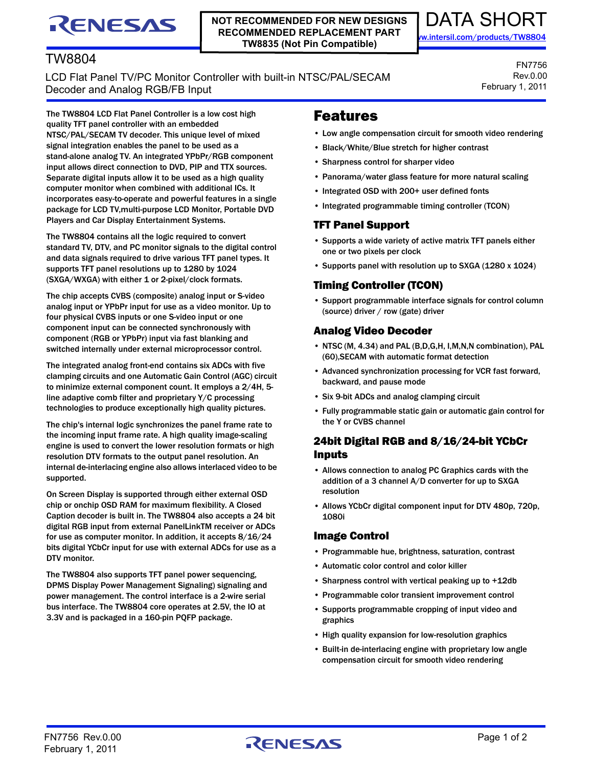# RENESAS

#### **NOT RECOMMENDED FOR NEW DESIGNS RECOMMENDED REPLACEMENT PART TW8835 (Not Pin Compatible)**



# TW8804

LCD Flat Panel TV/PC Monitor Controller with built-in NTSC/PAL/SECAM Decoder and Analog RGB/FB Input

FN7756 Rev.0.00 February 1, 2011

The TW8804 LCD Flat Panel Controller is a low cost high quality TFT panel controller with an embedded NTSC/PAL/SECAM TV decoder. This unique level of mixed signal integration enables the panel to be used as a stand-alone analog TV. An integrated YPbPr/RGB component input allows direct connection to DVD, PIP and TTX sources. Separate digital inputs allow it to be used as a high quality computer monitor when combined with additional ICs. It incorporates easy-to-operate and powerful features in a single package for LCD TV,multi-purpose LCD Monitor, Portable DVD Players and Car Display Entertainment Systems.

The TW8804 contains all the logic required to convert standard TV, DTV, and PC monitor signals to the digital control and data signals required to drive various TFT panel types. It supports TFT panel resolutions up to 1280 by 1024 (SXGA/WXGA) with either 1 or 2-pixel/clock formats.

The chip accepts CVBS (composite) analog input or S-video analog input or YPbPr input for use as a video monitor. Up to four physical CVBS inputs or one S-video input or one component input can be connected synchronously with component (RGB or YPbPr) input via fast blanking and switched internally under external microprocessor control.

The integrated analog front-end contains six ADCs with five clamping circuits and one Automatic Gain Control (AGC) circuit to minimize external component count. It employs a 2/4H, 5 line adaptive comb filter and proprietary Y/C processing technologies to produce exceptionally high quality pictures.

The chip's internal logic synchronizes the panel frame rate to the incoming input frame rate. A high quality image-scaling engine is used to convert the lower resolution formats or high resolution DTV formats to the output panel resolution. An internal de-interlacing engine also allows interlaced video to be supported.

On Screen Display is supported through either external OSD chip or onchip OSD RAM for maximum flexibility. A Closed Caption decoder is built in. The TW8804 also accepts a 24 bit digital RGB input from external PanelLinkTM receiver or ADCs for use as computer monitor. In addition, it accepts 8/16/24 bits digital YCbCr input for use with external ADCs for use as a DTV monitor.

The TW8804 also supports TFT panel power sequencing, DPMS Display Power Management Signaling) signaling and power management. The control interface is a 2-wire serial bus interface. The TW8804 core operates at 2.5V, the IO at 3.3V and is packaged in a 160-pin PQFP package.

# Features

- Low angle compensation circuit for smooth video rendering
- Black/White/Blue stretch for higher contrast
- Sharpness control for sharper video
- Panorama/water glass feature for more natural scaling
- Integrated OSD with 200+ user defined fonts
- Integrated programmable timing controller (TCON)

#### TFT Panel Support

- Supports a wide variety of active matrix TFT panels either one or two pixels per clock
- Supports panel with resolution up to SXGA (1280 x 1024)

## Timing Controller (TCON)

• Support programmable interface signals for control column (source) driver / row (gate) driver

### Analog Video Decoder

- NTSC (M, 4.34) and PAL (B,D,G,H, I,M,N,N combination), PAL (60),SECAM with automatic format detection
- Advanced synchronization processing for VCR fast forward, backward, and pause mode
- Six 9-bit ADCs and analog clamping circuit
- Fully programmable static gain or automatic gain control for the Y or CVBS channel

# 24bit Digital RGB and 8/16/24-bit YCbCr Inputs

- Allows connection to analog PC Graphics cards with the addition of a 3 channel A/D converter for up to SXGA resolution
- Allows YCbCr digital component input for DTV 480p, 720p, 1080i

## Image Control

- Programmable hue, brightness, saturation, contrast
- Automatic color control and color killer
- Sharpness control with vertical peaking up to +12db
- Programmable color transient improvement control
- Supports programmable cropping of input video and graphics
- High quality expansion for low-resolution graphics
- Built-in de-interlacing engine with proprietary low angle compensation circuit for smooth video rendering